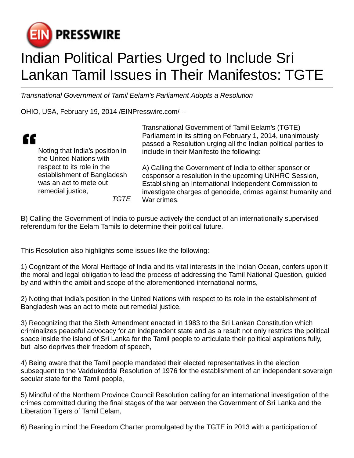

## Indian Political Parties Urged to Include Sri Lankan Tamil Issues in Their Manifestos: TGTE

Transnational Government of Tamil Eelam's Parliament Adopts a Resolution

OHIO, USA, February 19, 2014 [/EINPresswire.com](http://www.einpresswire.com)/ --

## ££

Noting that India's position in the United Nations with respect to its role in the establishment of Bangladesh was an act to mete out remedial justice, TGTE Transnational Government of Tamil Eelam's (TGTE) Parliament in its sitting on February 1, 2014, unanimously passed a Resolution urging all the Indian political parties to include in their Manifesto the following:

A) Calling the Government of India to either sponsor or cosponsor a resolution in the upcoming UNHRC Session, Establishing an International Independent Commission to investigate charges of genocide, crimes against humanity and War crimes.

B) Calling the Government of India to pursue actively the conduct of an internationally supervised referendum for the Eelam Tamils to determine their political future.

This Resolution also highlights some issues like the following:

1) Cognizant of the Moral Heritage of India and its vital interests in the Indian Ocean, confers upon it the moral and legal obligation to lead the process of addressing the Tamil National Question, guided by and within the ambit and scope of the aforementioned international norms,

2) Noting that India's position in the United Nations with respect to its role in the establishment of Bangladesh was an act to mete out remedial justice,

3) Recognizing that the Sixth Amendment enacted in 1983 to the Sri Lankan Constitution which criminalizes peaceful advocacy for an independent state and as a result not only restricts the political space inside the island of Sri Lanka for the Tamil people to articulate their political aspirations fully, but also deprives their freedom of speech,

4) Being aware that the Tamil people mandated their elected representatives in the election subsequent to the Vaddukoddai Resolution of 1976 for the establishment of an independent sovereign secular state for the Tamil people,

5) Mindful of the Northern Province Council Resolution calling for an international investigation of the crimes committed during the final stages of the war between the Government of Sri Lanka and the Liberation Tigers of Tamil Eelam,

6) Bearing in mind the Freedom Charter promulgated by the TGTE in 2013 with a participation of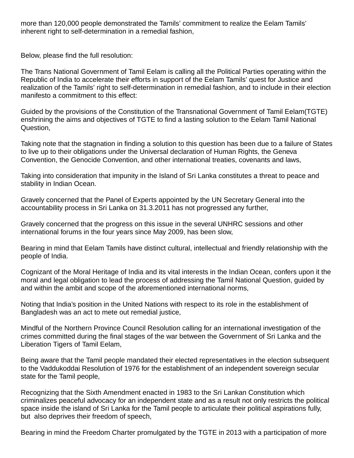more than 120,000 people demonstrated the Tamils' commitment to realize the Eelam Tamils' inherent right to self-determination in a remedial fashion,

Below, please find the full resolution:

The Trans National Government of Tamil Eelam is calling all the Political Parties operating within the Republic of India to accelerate their efforts in support of the Eelam Tamils' quest for Justice and realization of the Tamils' right to self-determination in remedial fashion, and to include in their election manifesto a commitment to this effect:

Guided by the provisions of the Constitution of the Transnational Government of Tamil Eelam(TGTE) enshrining the aims and objectives of TGTE to find a lasting solution to the Eelam Tamil National Question,

Taking note that the stagnation in finding a solution to this question has been due to a failure of States to live up to their obligations under the Universal declaration of Human Rights, the Geneva Convention, the Genocide Convention, and other international treaties, covenants and laws,

Taking into consideration that impunity in the Island of Sri Lanka constitutes a threat to peace and stability in Indian Ocean.

Gravely concerned that the Panel of Experts appointed by the UN Secretary General into the accountability process in Sri Lanka on 31.3.2011 has not progressed any further,

Gravely concerned that the progress on this issue in the several UNHRC sessions and other international forums in the four years since May 2009, has been slow,

Bearing in mind that Eelam Tamils have distinct cultural, intellectual and friendly relationship with the people of India.

Cognizant of the Moral Heritage of India and its vital interests in the Indian Ocean, confers upon it the moral and legal obligation to lead the process of addressing the Tamil National Question, guided by and within the ambit and scope of the aforementioned international norms,

Noting that India's position in the United Nations with respect to its role in the establishment of Bangladesh was an act to mete out remedial justice,

Mindful of the Northern Province Council Resolution calling for an international investigation of the crimes committed during the final stages of the war between the Government of Sri Lanka and the Liberation Tigers of Tamil Eelam,

Being aware that the Tamil people mandated their elected representatives in the election subsequent to the Vaddukoddai Resolution of 1976 for the establishment of an independent sovereign secular state for the Tamil people,

Recognizing that the Sixth Amendment enacted in 1983 to the Sri Lankan Constitution which criminalizes peaceful advocacy for an independent state and as a result not only restricts the political space inside the island of Sri Lanka for the Tamil people to articulate their political aspirations fully, but also deprives their freedom of speech,

Bearing in mind the Freedom Charter promulgated by the TGTE in 2013 with a participation of more